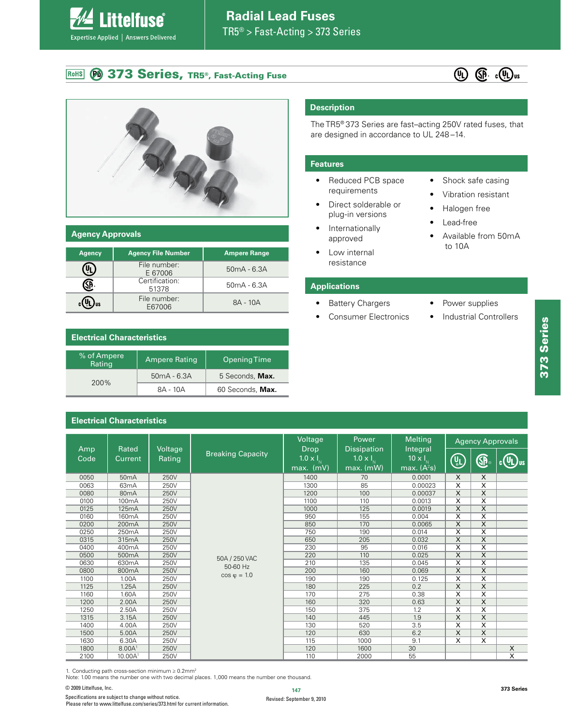#### **<sup>6</sup> 373 Series, TR5®, Fast-Acting Fuse** RoHS

**Littelfuse**®

Expertise Applied | Answers Delivered





#### **Agency Approvals**

| <b>Agency</b> | <b>Agency File Number</b> | <b>Ampere Range</b> |
|---------------|---------------------------|---------------------|
|               | File number:<br>E 67006   | $50mA - 6.3A$       |
|               | Certification:<br>51378   | $50mA - 6.3A$       |
|               | File number:<br>E67006    | 8A - 10A            |

## **Electrical Characteristics**

| % of Ampere<br>Rating | Ampere Rating | Opening Time     |
|-----------------------|---------------|------------------|
| 200%                  | $50mA - 6.3A$ | 5 Seconds, Max.  |
|                       | 8A - 10A      | 60 Seconds, Max. |

### **Electrical Characteristics**

 $\Box$  $\Box$  $\overline{\phantom{a}}$  $\Box$  $\Box$ 

# **Description**

The TR5<sup>®</sup> 373 Series are fast-acting 250V rated fuses, that are designed in accordance to UL 248-14.

#### **Features**

- Reduced PCB space requirements
- Direct solderable or plug-in versions
- Internationally approved
- Low internal resistance
- Shock safe casing
- Vibration resistant
- Halogen free

• Power supplies • Industrial Controllers

- Lead-free
- Available from 50mA to 10A

#### **Applications**

- Battery Chargers
- Consumer Electronics

| Amp  | Rated                                         | Voltage |                                   | Voltage<br><b>Drop</b>            | Power<br><b>Dissipation</b>              | <b>Melting</b><br>Integral                               |                         | <b>Agency Approvals</b> |                |
|------|-----------------------------------------------|---------|-----------------------------------|-----------------------------------|------------------------------------------|----------------------------------------------------------|-------------------------|-------------------------|----------------|
| Code | <b>Breaking Capacity</b><br>Rating<br>Current |         | $1.0 \times I_{N}$<br>$max.$ (mV) | 1.0 $\times$ $I_{N}$<br>max. (mW) | $10 \times I_{\text{N}}$<br>max. $(A2s)$ | $\left(\begin{smallmatrix} 0\ 0\end{smallmatrix}\right)$ | <b>GP</b>               | $\mathbb{Q}$            |                |
| 0050 | 50 <sub>m</sub> A                             | 250V    |                                   | 1400                              | 70                                       | 0.0001                                                   | X                       | X                       |                |
| 0063 | 63 <sub>m</sub> A                             | 250V    |                                   | 1300                              | 85                                       | 0.00023                                                  | $\overline{\mathsf{x}}$ | $\overline{\mathsf{x}}$ |                |
| 0080 | 80 <sub>m</sub> A                             | 250V    |                                   | 1200                              | 100                                      | 0.00037                                                  | X                       | $\overline{\mathsf{x}}$ |                |
| 0100 | 100 <sub>m</sub> A                            | 250V    |                                   | 1100                              | 110                                      | 0.0013                                                   | X                       | X                       |                |
| 0125 | 125mA                                         | 250V    |                                   | 1000                              | 125                                      | 0.0019                                                   | $\overline{\mathsf{x}}$ | $\overline{\mathsf{x}}$ |                |
| 0160 | 160 <sub>m</sub> A                            | 250V    |                                   | 950                               | 155                                      | 0.004                                                    | X                       | X                       |                |
| 0200 | 200 <sub>m</sub> A                            | 250V    |                                   | 850                               | 170                                      | 0.0065                                                   | X                       | X                       |                |
| 0250 | 250 <sub>m</sub> A                            | 250V    |                                   | 750                               | 190                                      | 0.014                                                    | $\overline{\mathsf{x}}$ | $\overline{\mathsf{x}}$ |                |
| 0315 | 315mA                                         | 250V    |                                   | 650                               | 205                                      | 0.032                                                    | X                       | X                       |                |
| 0400 | 400 <sub>m</sub> A                            | 250V    |                                   | 230                               | 95                                       | 0.016                                                    | $\overline{\mathsf{x}}$ | $\overline{\mathsf{x}}$ |                |
| 0500 | 500 <sub>m</sub> A                            | 250V    | 50A / 250 VAC                     | 220                               | 110                                      | 0.025                                                    | X                       | X                       |                |
| 0630 | 630 <sub>m</sub> A                            | 250V    | 50-60 Hz                          | 210                               | 135                                      | 0.045                                                    | $\overline{\mathsf{x}}$ | $\overline{\mathsf{x}}$ |                |
| 0800 | 800 <sub>m</sub> A                            | 250V    | $cos \varphi = 1.0$               | 200                               | 160                                      | 0.069                                                    | $\mathsf{X}$            | X                       |                |
| 1100 | 1.00A                                         | 250V    |                                   | 190                               | 190                                      | 0.125                                                    | X                       | $\overline{\mathsf{x}}$ |                |
| 1125 | 1.25A                                         | 250V    |                                   | 180                               | 225                                      | 0.2                                                      | $\overline{\mathsf{x}}$ | $\overline{\mathsf{x}}$ |                |
| 1160 | 1.60A                                         | 250V    |                                   | 170                               | 275                                      | 0.38                                                     | X                       | X                       |                |
| 1200 | 2.00A                                         | 250V    |                                   | 160                               | 320                                      | 0.63                                                     | $\overline{\mathsf{x}}$ | $\overline{\mathsf{x}}$ |                |
| 1250 | 2.50A                                         | 250V    |                                   | 150                               | 375                                      | 1.2                                                      | X                       | X                       |                |
| 1315 | 3.15A                                         | 250V    |                                   | 140                               | 445                                      | 1.9                                                      | X                       | $\times$                |                |
| 1400 | 4.00A                                         | 250V    |                                   | 130                               | 520                                      | 3.5                                                      | X                       | X                       |                |
| 1500 | 5.00A                                         | 250V    |                                   | 120                               | 630                                      | 6.2                                                      | X                       | X                       |                |
| 1630 | 6.30A                                         | 250V    |                                   | 115                               | 1000                                     | 9.1                                                      | $\overline{\mathsf{x}}$ | $\overline{\mathsf{x}}$ |                |
| 1800 | 8.00A <sup>1</sup>                            | 250V    |                                   | 120                               | 1600                                     | 30                                                       |                         |                         | $\overline{X}$ |
| 2100 | 10.00A <sup>1</sup>                           | 250V    |                                   | 110                               | 2000                                     | 55                                                       |                         |                         | X              |

1. Conducting path cross-section minimum ≥ 0.2mm²<br>Note: 1.00 means the number one with two decimal places. 1,000 means the number one thousand.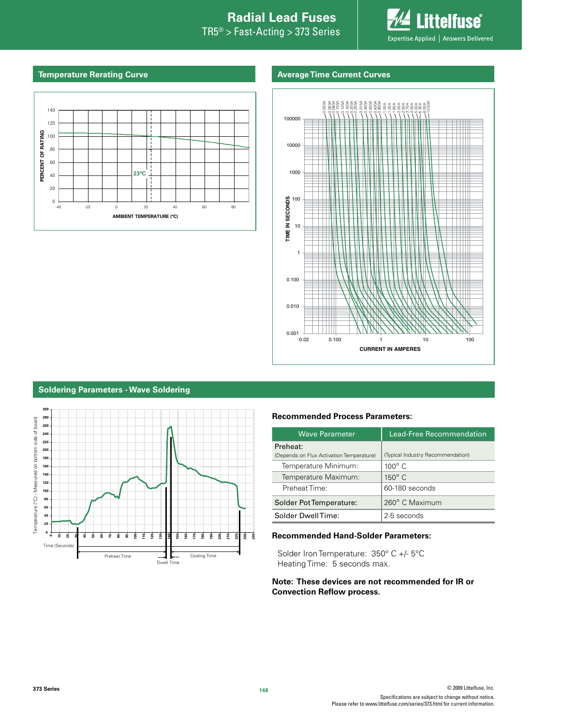# **Introduction to Circuit Protection Introduction to Circuit Protection Radial Lead Fuses**

 $TR5<sup>®</sup> > Fast-Acting > 373$  Series



#### **Temperature Rerating Curve Average Time Current Curves**





#### **Soldering Parameters - Wave Soldering**



#### **Recommended Process Parameters:**

| <b>Wave Parameter</b>                    | Lead-Free Recommendation          |  |  |
|------------------------------------------|-----------------------------------|--|--|
| Preheat:                                 |                                   |  |  |
| (Depends on Flux Activation Temperature) | (Typical Industry Recommendation) |  |  |
| Temperature Minimum:                     | $100^\circ$ C                     |  |  |
| Temperature Maximum:                     | $150^\circ$ C                     |  |  |
| Preheat Time:                            | 60-180 seconds                    |  |  |
| Solder Pot Temperature:                  | 260° C Maximum                    |  |  |
| Solder DwellTime:                        | 2-5 seconds                       |  |  |

#### **Recommended Hand-Solder Parameters:**

Solder Iron Temperature: 350° C +/- 5°C Heating Time: 5 seconds max.

#### **Note: These devices are not recommended for IR or Convection Reflow process.**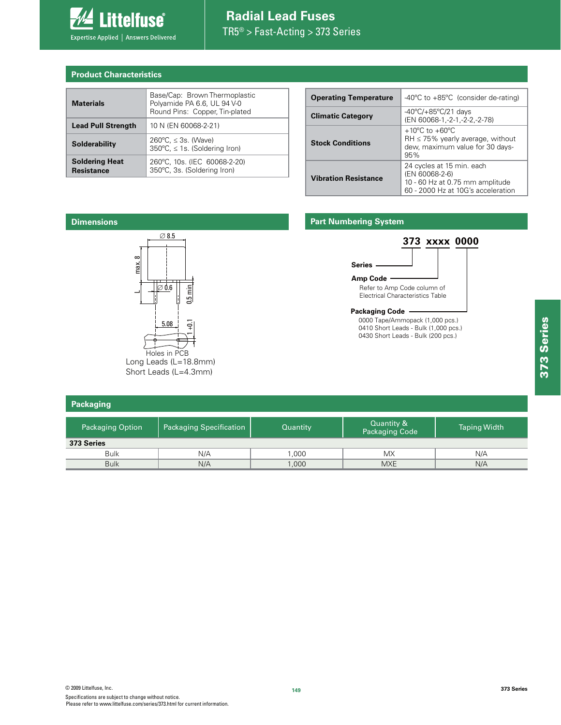

## **Radial Lead Fuses**  $TR5^{\circledcirc} > Fast-Acting > 373$  Series

#### **Product Characteristics**

| <b>Materials</b>                           | Base/Cap: Brown Thermoplastic<br>Polyamide PA 6.6, UL 94 V-0<br>Round Pins: Copper, Tin-plated |
|--------------------------------------------|------------------------------------------------------------------------------------------------|
| <b>Lead Pull Strength</b>                  | 10 N (EN 60068-2-21)                                                                           |
| Solderability                              | $260^{\circ}$ C, $\leq$ 3s. (Wave)<br>350°C, ≤ 1s. (Soldering Iron)                            |
| <b>Soldering Heat</b><br><b>Resistance</b> | 260°C, 10s. (IEC 60068-2-20)<br>350°C, 3s. (Soldering Iron)                                    |

| <b>Operating Temperature</b> | $-40^{\circ}$ C to $+85^{\circ}$ C (consider de-rating)                                                                |  |  |
|------------------------------|------------------------------------------------------------------------------------------------------------------------|--|--|
| <b>Climatic Category</b>     | $-40^{\circ}$ C/+85 $^{\circ}$ C/21 days<br>(EN 60068-1, -2-1, -2-2, -2-78)                                            |  |  |
| <b>Stock Conditions</b>      | $+10^{\circ}$ C to $+60^{\circ}$ C<br>$RH \leq 75\%$ yearly average, without<br>dew, maximum value for 30 days-<br>95% |  |  |
| <b>Vibration Resistance</b>  | 24 cycles at 15 min. each<br>(EN 60068-2-6)<br>10 - 60 Hz at 0.75 mm amplitude<br>60 - 2000 Hz at 10G's acceleration   |  |  |



Long Leads (L=18.8mm) Short Leads (L=4.3mm)

| Packaging               |                                |          |                              |                     |  |  |  |
|-------------------------|--------------------------------|----------|------------------------------|---------------------|--|--|--|
| <b>Packaging Option</b> | <b>Packaging Specification</b> | Quantity | Quantity &<br>Packaging Code | <b>Taping Width</b> |  |  |  |
| 373 Series              |                                |          |                              |                     |  |  |  |
| <b>Bulk</b>             | N/A                            | 1,000    | <b>MX</b>                    | N/A                 |  |  |  |
| <b>Bulk</b>             | N/A                            | 1,000    | <b>MXE</b>                   | N/A                 |  |  |  |

373 Series